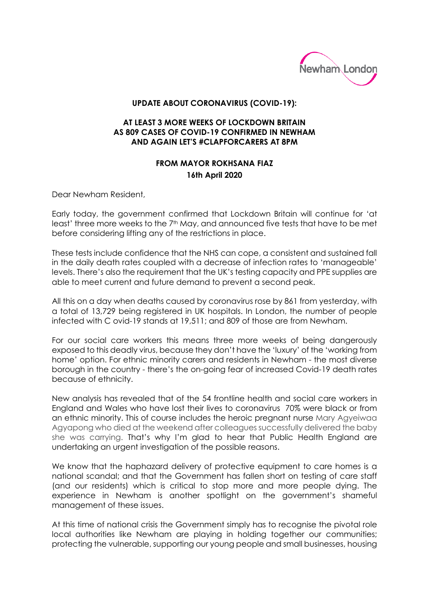

## **UPDATE ABOUT CORONAVIRUS (COVID-19):**

## **AT LEAST 3 MORE WEEKS OF LOCKDOWN BRITAIN AS 809 CASES OF COVID-19 CONFIRMED IN NEWHAM AND AGAIN LET'S #CLAPFORCARERS AT 8PM**

## **FROM MAYOR ROKHSANA FIAZ 16th April 2020**

Dear Newham Resident,

Early today, the government confirmed that Lockdown Britain will continue for 'at least' three more weeks to the  $7<sup>th</sup>$  May, and announced five tests that have to be met before considering lifting any of the restrictions in place.

These tests include confidence that the NHS can cope, a consistent and sustained fall in the daily death rates coupled with a decrease of infection rates to 'manageable' levels. There's also the requirement that the UK's testing capacity and PPE supplies are able to meet current and future demand to prevent a second peak.

All this on a day when deaths caused by coronavirus rose by 861 from yesterday, with a total of 13,729 being registered in UK hospitals. In London, the number of people infected with C ovid-19 stands at 19,511; and 809 of those are from Newham.

For our social care workers this means three more weeks of being dangerously exposed to this deadly virus, because they don't have the 'luxury' of the 'working from home' option. For ethnic minority carers and residents in Newham - the most diverse borough in the country - there's the on-going fear of increased Covid-19 death rates because of ethnicity.

New analysis has revealed that of the 54 frontline health and social care workers in England and Wales who have lost their lives to coronavirus 70% were black or from an ethnic minority. This of course includes the heroic pregnant nurse Mary Agyeiwaa Agyapong who died at the weekend after colleagues successfully delivered the baby she was carrying. That's why I'm glad to hear that Public Health England are undertaking an urgent investigation of the possible reasons.

We know that the haphazard delivery of protective equipment to care homes is a national scandal; and that the Government has fallen short on testing of care staff (and our residents) which is critical to stop more and more people dying. The experience in Newham is another spotlight on the government's shameful management of these issues.

At this time of national crisis the Government simply has to recognise the pivotal role local authorities like Newham are playing in holding together our communities; protecting the vulnerable, supporting our young people and small businesses, housing